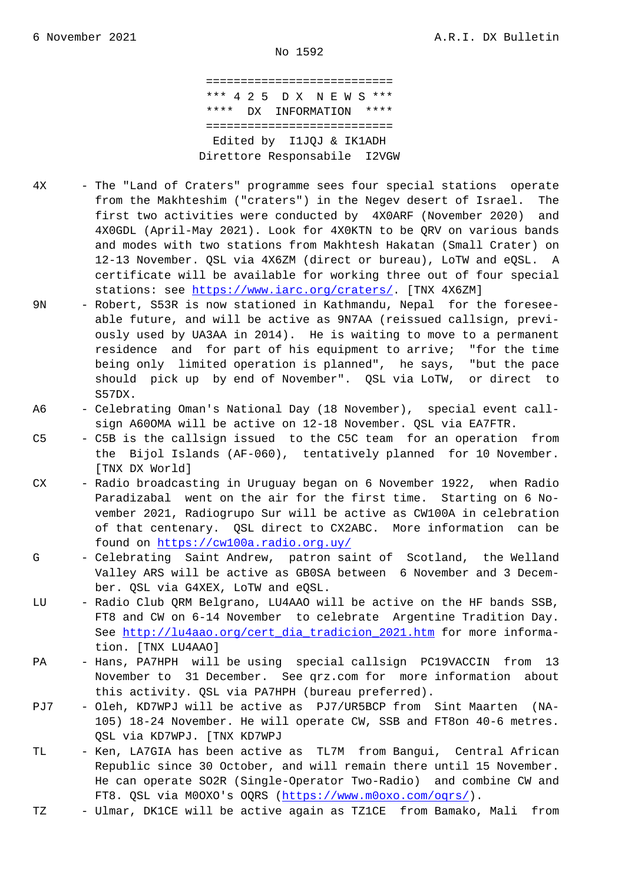=========================== \*\*\* 4 2 5 D X N E W S \*\*\* \*\*\*\* DX INFORMATION \*\*\*\* =========================== Edited by I1JQJ & IK1ADH Direttore Responsabile I2VGW

- 4X The "Land of Craters" programme sees four special stations operate from the Makhteshim ("craters") in the Negev desert of Israel. The first two activities were conducted by 4X0ARF (November 2020) and 4X0GDL (April-May 2021). Look for 4X0KTN to be QRV on various bands and modes with two stations from Makhtesh Hakatan (Small Crater) on 12-13 November. QSL via 4X6ZM (direct or bureau), LoTW and eQSL. A certificate will be available for working three out of four special stations: see https://www.iarc.org/craters/. [TNX 4X6ZM]
- 9N Robert, S53R is now stationed in Kathmandu, Nepal for the foresee able future, and will be active as 9N7AA (reissued callsign, previ ously used by UA3AA in 2014). He is waiting to move to a permanent residence and [for part of his equipment t](https://www.iarc.org/craters/)o arrive; "for the time being only limited operation is planned", he says, "but the pace should pick up by end of November". QSL via LoTW, or direct to S57DX.
- A6 Celebrating Oman's National Day (18 November), special event call sign A60OMA will be active on 12-18 November. QSL via EA7FTR.
- C5 C5B is the callsign issued to the C5C team for an operation from the Bijol Islands (AF-060), tentatively planned for 10 November. [TNX DX World]
- CX Radio broadcasting in Uruguay began on 6 November 1922, when Radio Paradizabal went on the air for the first time. Starting on 6 No vember 2021, Radiogrupo Sur will be active as CW100A in celebration of that centenary. QSL direct to CX2ABC. More information can be found on https://cw100a.radio.org.uy/
- G Celebrating Saint Andrew, patron saint of Scotland, the Welland Valley ARS will be active as GB0SA between 6 November and 3 Decem ber. QSL via G4XEX, LoTW and eQSL.
- LU Radio Clu[b QRM Belgrano, LU4AAO will b](https://cw100a.radio.org.uy/)e active on the HF bands SSB, FT8 and CW on 6-14 November to celebrate Argentine Tradition Day. See http://lu4aao.org/cert dia tradicion 2021.htm for more information. [TNX LU4AAO]
- PA Hans, PA7HPH will be using special callsign PC19VACCIN from 13 November to 31 December. See qrz.com for more information about this [activity. QSL via PA7HPH \(bureau preferred\).](http://lu4aao.org/cert_dia_tradicion_2021.htm)
- PJ7 Oleh, KD7WPJ will be active as PJ7/UR5BCP from Sint Maarten (NA- 105) 18-24 November. He will operate CW, SSB and FT8on 40-6 metres. QSL via KD7WPJ. [TNX KD7WPJ
- TL Ken, LA7GIA has been active as TL7M from Bangui, Central African Republic since 30 October, and will remain there until 15 November. He can operate SO2R (Single-Operator Two-Radio) and combine CW and FT8. QSL via M0OXO's OQRS (https://www.m0oxo.com/oqrs/).
- TZ Ulmar, DK1CE will be active again as TZ1CE from Bamako, Mali from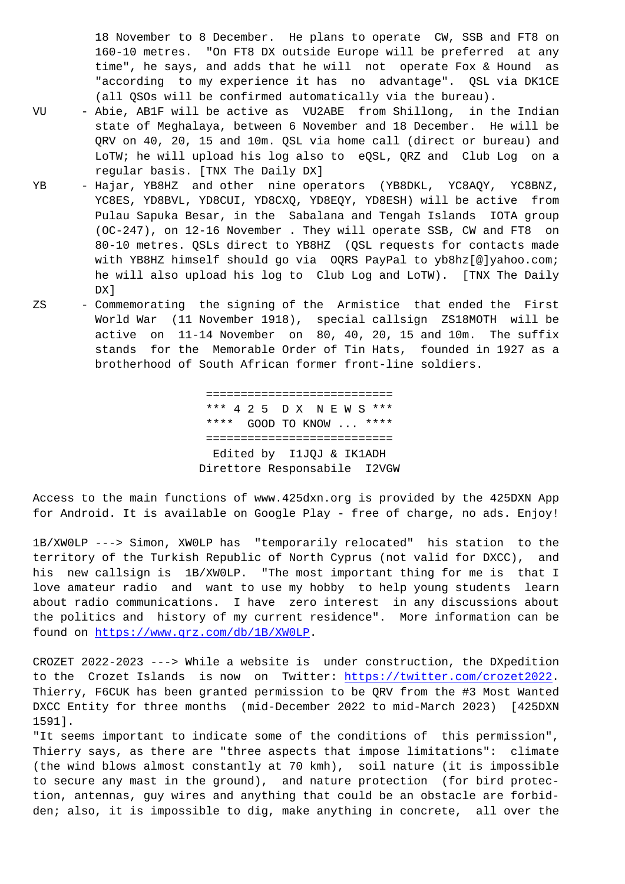160-10 metres. "On FT8 DX outside Europe will be preferred at any time", he says, and adds that he will not operate Fox & Hound as "according to my experience it has no advantage". QSL via DK1CE (all QSOs will be confirmed automatically via the bureau).

- VU Abie, AB1F will be active as VU2ABE from Shillong, in the Indian state of Meghalaya, between 6 November and 18 December. He will be QRV on 40, 20, 15 and 10m. QSL via home call (direct or bureau) and LoTW; he will upload his log also to eQSL, QRZ and Club Log on a regular basis. [TNX The Daily DX]
- YB Hajar, YB8HZ and other nine operators (YB8DKL, YC8AQY, YC8BNZ, YC8ES, YD8BVL, YD8CUI, YD8CXQ, YD8EQY, YD8ESH) will be active from Pulau Sapuka Besar, in the Sabalana and Tengah Islands IOTA group (OC-247), on 12-16 November . They will operate SSB, CW and FT8 on 80-10 metres. QSLs direct to YB8HZ (QSL requests for contacts made with YB8HZ himself should go via OQRS PayPal to yb8hz[@]yahoo.com; he will also upload his log to Club Log and LoTW). [TNX The Daily DX]
- ZS Commemorating the signing of the Armistice that ended the First World War (11 November 1918), special callsign ZS18MOTH will be active on 11-14 November on 80, 40, 20, 15 and 10m. The suffix stands for the Memorable Order of Tin Hats, founded in 1927 as a brotherhood of South African former front-line soldiers.

 =========================== \*\*\* 4 2 5 D X N E W S \*\*\* \*\*\*\* GOOD TO KNOW ... \*\*\*\* =========================== Edited by I1JQJ & IK1ADH Direttore Responsabile I2VGW

Access to the main functions of www.425dxn.org is provided by the 425DXN App for Android. It is available on Google Play - free of charge, no ads. Enjoy!

1B/XW0LP ---> Simon, XW0LP has "temporarily relocated" his station to the territory of the Turkish Republic of North Cyprus (not valid for DXCC), and his new callsign is 1B/XW0LP. "The most important thing for me is that I love amateur radio and want to use my hobby to help young students learn about radio communications. I have zero interest in any discussions about the politics and history of my current residence". More information can be found on https://www.qrz.com/db/1B/XW0LP.

CROZET 2022-2023 ---> While a website is under construction, the DXpedition to the Crozet Islands is now on Twitter: https://twitter.com/crozet2022. Thierry, [F6CUK has been granted permissi](https://www.qrz.com/db/1B/XW0LP)on to be QRV from the #3 Most Wanted DXCC Entity for three months (mid-December 2022 to mid-March 2023) [425DXN 1591].

"It seems important to indicate some of the [conditions of this permission"](https://twitter.com/crozet2022), Thierry says, as there are "three aspects that impose limitations": climate (the wind blows almost constantly at 70 kmh), soil nature (it is impossible to secure any mast in the ground), and nature protection (for bird protection, antennas, guy wires and anything that could be an obstacle are forbidden; also, it is impossible to dig, make anything in concrete, all over the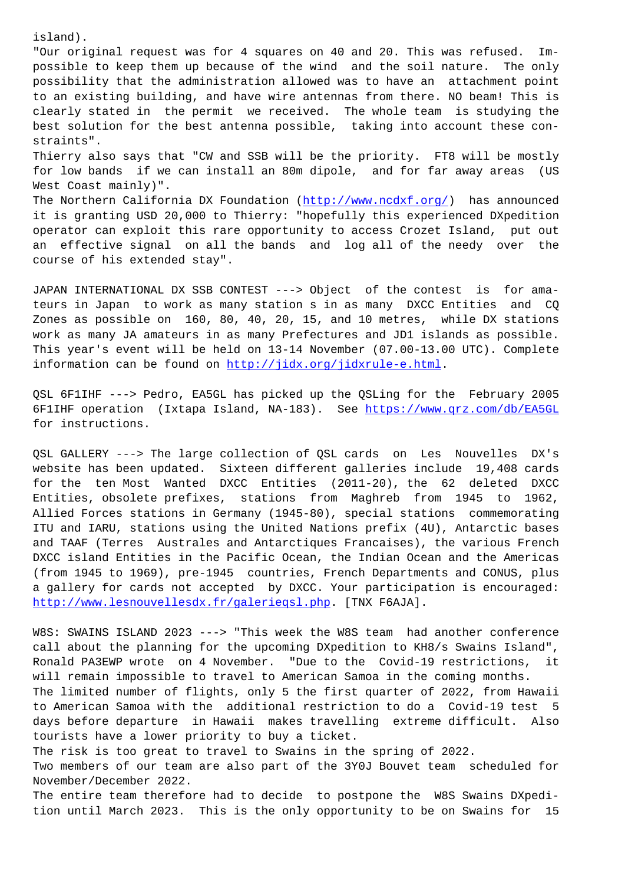"Our original request was for 4 squares on 40 and 20. This was refused. Impossible to keep them up because of the wind and the soil nature. The only possibility that the administration allowed was to have an attachment point to an existing building, and have wire antennas from there. NO beam! This is clearly stated in the permit we received. The whole team is studying the best solution for the best antenna possible, taking into account these constraints". Thierry also says that "CW and SSB will be the priority. FT8 will be mostly for low bands if we can install an 80m dipole, and for far away areas (US

West Coast mainly)". The Northern California DX Foundation (http://www.ncdxf.org/) has announced it is granting USD 20,000 to Thierry: "hopefully this experienced DXpedition operator can exploit this rare opportunity to access Crozet Island, put out an effective signal on all the bands [and log all of the](http://www.ncdxf.org/) needy over the course of his extended stay".

JAPAN INTERNATIONAL DX SSB CONTEST ---> Object of the contest is for amateurs in Japan to work as many station s in as many DXCC Entities and CQ Zones as possible on 160, 80, 40, 20, 15, and 10 metres, while DX stations work as many JA amateurs in as many Prefectures and JD1 islands as possible. This year's event will be held on 13-14 November (07.00-13.00 UTC). Complete information can be found on http://jidx.org/jidxrule-e.html.

QSL 6F1IHF ---> Pedro, EA5GL has picked up the QSLing for the February 2005 6F1IHF operation (Ixtapa Is[land, NA-183\). See https://www.](http://jidx.org/jidxrule-e.html)qrz.com/db/EA5GL for instructions.

QSL GALLERY ---> The large collection of QSL car[ds on Les Nouvelles DX](https://www.qrz.com/db/EA5GL)'[s](https://www.qrz.com/db/EA5GL) website has been updated. Sixteen different galleries include 19,408 cards for the ten Most Wanted DXCC Entities (2011-20), the 62 deleted DXCC Entities, obsolete prefixes, stations from Maghreb from 1945 to 1962, Allied Forces stations in Germany (1945-80), special stations commemorating ITU and IARU, stations using the United Nations prefix (4U), Antarctic bases and TAAF (Terres Australes and Antarctiques Francaises), the various French DXCC island Entities in the Pacific Ocean, the Indian Ocean and the Americas (from 1945 to 1969), pre-1945 countries, French Departments and CONUS, plus a gallery for cards not accepted by DXCC. Your participation is encouraged: http://www.lesnouvellesdx.fr/galerieqsl.php. [TNX F6AJA].

W8S: SWAINS ISLAND 2023 ---> "This week the W8S team had another conference call about the planning for the upcoming DXpedition to KH8/s Swains Island", [Ronald PA3EWP wrote on 4 November. "Due to](http://www.lesnouvellesdx.fr/galerieqsl.php) the Covid-19 restrictions, it will remain impossible to travel to American Samoa in the coming months. The limited number of flights, only 5 the first quarter of 2022, from Hawaii to American Samoa with the additional restriction to do a Covid-19 test 5 days before departure in Hawaii makes travelling extreme difficult. Also tourists have a lower priority to buy a ticket.

The risk is too great to travel to Swains in the spring of 2022.

Two members of our team are also part of the 3Y0J Bouvet team scheduled for November/December 2022.

The entire team therefore had to decide to postpone the W8S Swains DXpedition until March 2023. This is the only opportunity to be on Swains for 15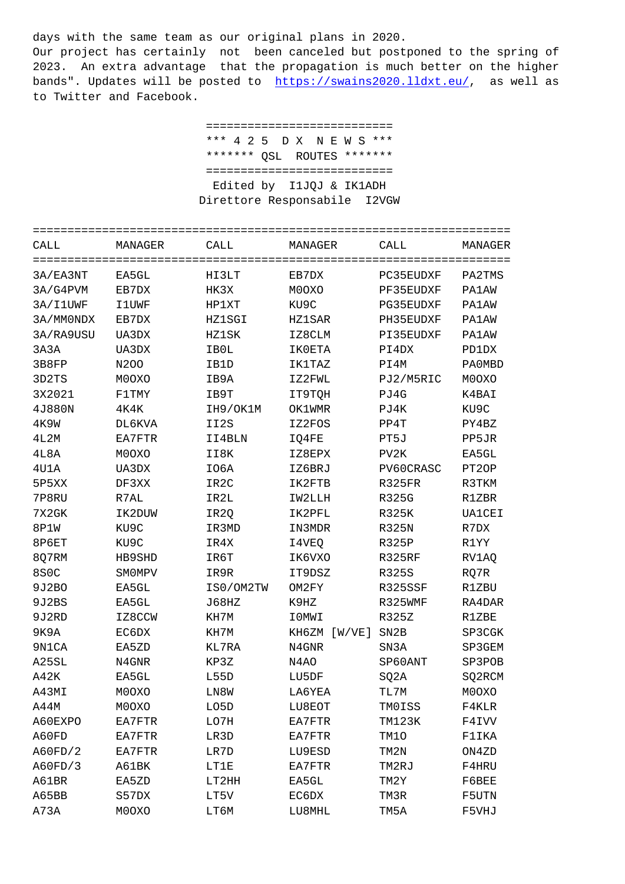Our project has certainly not been canceled but postponed to the spring of 2023. An extra advantage that the propagation is much better on the higher bands". Updates will be posted to https://swains2020.lldxt.eu/, as well as to Twitter and Facebook.

> =========================== \*\*\* 4 2 5 [D X N E W S \\*\\*\\*](https://swains2020.lldxt.eu/) \*\*\*\*\*\*\* QSL ROUTES \*\*\*\*\*\*\* =========================== Edited by I1JQJ & IK1ADH Direttore Responsabile I2VGW

| CALL              | MANAGER       | CALL              | MANAGER         | CALL              | MANAGER       |  |  |
|-------------------|---------------|-------------------|-----------------|-------------------|---------------|--|--|
| 3A/EA3NT          | EA5GL         | HI3LT             | EB7DX           | PC35EUDXF         | PA2TMS        |  |  |
| 3A/G4PVM          | EB7DX         | HK3X              | M0OXO           | PF35EUDXF         | <b>PA1AW</b>  |  |  |
| 3A/I1UWF          | <b>IlUWF</b>  | HP1XT             | KU9C            | PG35EUDXF         | <b>PA1AW</b>  |  |  |
| 3A/MM0NDX         | EB7DX         | <b>HZ1SGI</b>     | <b>HZ1SAR</b>   | PH35EUDXF         | <b>PA1AW</b>  |  |  |
| 3A/RA9USU         | UA3DX         | <b>HZ1SK</b>      | IZ8CLM          | PI35EUDXF         | <b>PA1AW</b>  |  |  |
| 3A3A              | UA3DX         | IB0L              | <b>IKOETA</b>   | PI4DX             | PD1DX         |  |  |
| 3B8FP             | N200          | IB1D              | IK1TAZ          | PI4M              | PA0MBD        |  |  |
| 3D2TS             | M0OXO         | IB9A              | IZ2FWL          | PJ2/M5RIC         | M0OXO         |  |  |
| 3X2021            | F1TMY         | IB9T              | IT9TQH          | PJ4G              | K4BAI         |  |  |
| 4J880N            | 4K4K          | IH9/OK1M          | OK1WMR          | PJ4K              | KU9C          |  |  |
| <b>4K9W</b>       | DL6KVA        | II2S              | IZ2FOS          | PP4T              | PY4BZ         |  |  |
| 4L2M              | EA7FTR        | II4BLN            | IQ4FE           | PT5J              | PP5JR         |  |  |
| 4L8A              | M0OXO         | II8K              | IZ8EPX          | PV <sub>2</sub> K | EA5GL         |  |  |
| 4U1A              | UA3DX         | IO6A              | IZ6BRJ          | PV60CRASC         | PT2OP         |  |  |
| 5P5XX             | DF3XX         | IR <sub>2</sub> C | IK2FTB          | R325FR            | R3TKM         |  |  |
| 7P8RU             | R7AL          | IR2L              | IW2LLH          | <b>R325G</b>      | R1ZBR         |  |  |
| 7X2GK             | IK2DUW        | IR2Q              | IK2PFL          | <b>R325K</b>      | <b>UA1CEI</b> |  |  |
| 8P1W              | KU9C          | IR3MD             | IN3MDR          | R325N             | R7DX          |  |  |
| 8P6ET             | KU9C          | IR4X              | I4VEQ           | <b>R325P</b>      | R1YY          |  |  |
| 8Q7RM             | HB9SHD        | IR6T              | IK6VXO          | R325RF            | RV1AQ         |  |  |
| 8S <sub>0</sub> C | <b>SMOMPV</b> | IR9R              | IT9DSZ          | <b>R325S</b>      | RQ7R          |  |  |
| 9J2BO             | EA5GL         | IS0/OM2TW         | OM2FY           | R325SSF           | R1ZBU         |  |  |
| 9J2BS             | EA5GL         | J68HZ             | K9HZ            | R325WMF           | RA4DAR        |  |  |
| 9J2RD             | IZ8CCW        | KH7M              | IOMWI           | R325Z             | R1ZBE         |  |  |
| 9K9A              | EC6DX         | KH7M              | KH6ZM<br>[W/VE] | SN <sub>2</sub> B | SP3CGK        |  |  |
| 9N1CA             | EA5ZD         | KL7RA             | N4GNR           | SN3A              | SP3GEM        |  |  |
| A25SL             | N4GNR         | KP3Z              | N4AO            | SP60ANT           | SP3POB        |  |  |
| A42K              | EA5GL         | L55D              | LU5DF           | SQ2A              | SQ2RCM        |  |  |
| A43MI             | M0OXO         | LN8W              | LA6YEA          | TL7M              | M0OXO         |  |  |
| A44M              | M0OXO         | LO5D              | LU8EOT          | TM0ISS            | F4KLR         |  |  |
| A60EXPO           | EA7FTR        | LO7H              | EA7FTR          | TM123K            | F4IVV         |  |  |
| A60FD             | EA7FTR        | LR3D              | EA7FTR          | TM10              | F1IKA         |  |  |
| A60FD/2           | EA7FTR        | LR7D              | LU9ESD          | TM2N              | ON4ZD         |  |  |
| A60FD/3           | A61BK         | LT1E              | EA7FTR          | TM2RJ             | F4HRU         |  |  |
| A61BR             | EA5ZD         | LT2HH             | EA5GL           | TM2Y              | F6BEE         |  |  |
| A65BB             | S57DX         | LT5V              | EC6DX           | TM3R              | F5UTN         |  |  |
| A73A              | M0OXO         | LT6M              | LU8MHL          | TM5A              | F5VHJ         |  |  |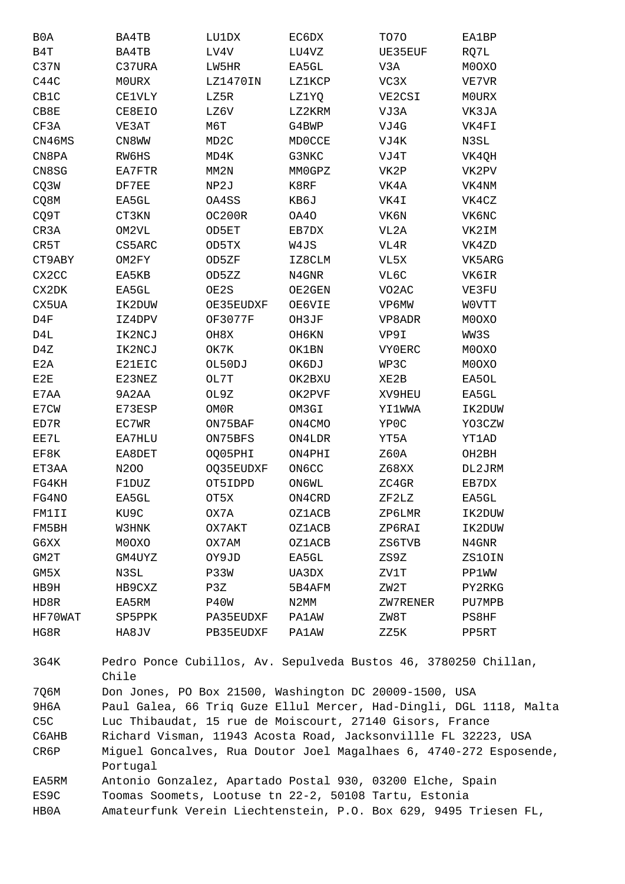| B <sub>0</sub> A | BA4TB         | LU1DX             | EC6DX         | TO70               | EA1BP        |
|------------------|---------------|-------------------|---------------|--------------------|--------------|
| B4T              | BA4TB         | LV4V              | LU4VZ         | UE35EUF            | RQ7L         |
| C37N             | C37URA        | LW5HR             | EA5GL         | V3A                | M0OXO        |
| C44C             | MOURX         | LZ1470IN          | LZ1KCP        | VC3X               | VE7VR        |
| CB1C             | <b>CE1VLY</b> | LZ5R              | LZ1YQ         | VE2CSI             | M0URX        |
| CBBE             | CE8EIO        | LZ6V              | LZ2KRM        | VJ3A               | VK3JA        |
| CF3A             | VE3AT         | M6T               | G4BWP         | VJ4G               | VK4FI        |
| CN46MS           | CN8WW         | MD <sub>2</sub> C | <b>MDOCCE</b> | VJ4K               | N3SL         |
| CN8PA            | RW6HS         | MD4K              | G3NKC         | VJ4T               | VK4QH        |
| CN8SG            | EA7FTR        | MM2N              | MMOGPZ        | VK2P               | VK2PV        |
| CQ3W             | DF7EE         | NP2J              | K8RF          | VK4A               | VK4NM        |
| CQ8M             | EA5GL         | OA4SS             | KB6J          | VK4I               | VK4CZ        |
| CQ9T             | CT3KN         | OC200R            | OA40          | VK6N               | VK6NC        |
| CR3A             | OM2VL         | OD5ET             | EB7DX         | VL2A               | VK2IM        |
| CR5T             | CS5ARC        | OD5TX             | W4JS          | VL4R               | VK4ZD        |
| CT9ABY           | OM2FY         | OD5ZF             | IZ8CLM        | VL5X               | VK5ARG       |
| CX2CC            | EA5KB         | OD5ZZ             | N4GNR         | VL6C               | VK6IR        |
| CX2DK            | EA5GL         | OE2S              | OE2GEN        | VO <sub>2</sub> AC | VE3FU        |
| CX5UA            | IK2DUW        | OE35EUDXF         | OE6VIE        | VP6MW              | WOVTT        |
| D4F              | IZ4DPV        | OF3077F           | OH3JF         | VP8ADR             | M0OXO        |
| D4L              | IK2NCJ        | OH8X              | OH6KN         | VP9I               | WW3S         |
| D4Z              | IK2NCJ        | OK7K              | OK1BN         | <b>VY0ERC</b>      | M0OXO        |
| E2A              | E21EIC        | OL50DJ            | OK6DJ         | WP3C               | M0OXO        |
| E2E              | E23NEZ        | OL7T              | OK2BXU        | XE2B               | EA5OL        |
| E7AA             | 9A2AA         | OL9Z              | OK2PVF        | XV9HEU             | EA5GL        |
| E7CW             | E73ESP        | OM0R              | OM3GI         | YI1WWA             | IK2DUW       |
| ED7R             | EC7WR         | ON75BAF           | ON4CMO        | YP0C               | YO3CZW       |
| EE7L             | EA7HLU        | ON75BFS           | ON4LDR        | YT5A               | YT1AD        |
| EF8K             | EA8DET        | OQ05PHI           | ON4PHI        | Z60A               | OH2BH        |
| ET3AA            | N200          | OQ35EUDXF         | ON6CC         | Z68XX              | DL2JRM       |
| FG4KH            | F1DUZ         | OT5IDPD           | ON6WL         | ZC4GR              | EB7DX        |
| FG4NO            | EA5GL         | OT5X              | ON4CRD        | ZF2LZ              | EA5GL        |
| FM1II            | KU9C          | OX7A              | <b>OZ1ACB</b> | ZP6LMR             | IK2DUW       |
| FM5BH            | W3HNK         | OX7AKT            | <b>OZ1ACB</b> | ZP6RAI             | IK2DUW       |
| G6XX             | M0OXO         | OX7AM             | <b>OZ1ACB</b> | ZS6TVB             | N4GNR        |
| GM2T             | GM4UYZ        | OY9JD             | EA5GL         | ZS9Z               | ZS10IN       |
| GM5X             | N3SL          | P33W              | UA3DX         | ZV1T               | <b>PP1WW</b> |
| HB9H             | HB9CXZ        | P3Z               | 5B4AFM        | ZW2T               | PY2RKG       |
| HD8R             | EA5RM         | P40W              | N2MM          | ZW7RENER           | PU7MPB       |
| HF70WAT          | SP5PPK        | PA35EUDXF         | <b>PA1AW</b>  | ZW8T               | PS8HF        |
| HG8R             | HA8JV         | PB35EUDXF         | PA1AW         | ZZ5K               | PP5RT        |
|                  |               |                   |               |                    |              |

 $3G4K$ Pedro Ponce Cubillos, Av. Sepulveda Bustos 46, 3780250 Chillan, Chile 7Q6M Don Jones, PO Box 21500, Washington DC 20009-1500, USA Paul Galea, 66 Triq Guze Ellul Mercer, Had-Dingli, DGL 1118, Malta **9H6A** C<sub>5</sub>C Luc Thibaudat, 15 rue de Moiscourt, 27140 Gisors, France Richard Visman, 11943 Acosta Road, Jacksonvillle FL 32223, USA C6AHB Miguel Goncalves, Rua Doutor Joel Magalhaes 6, 4740-272 Esposende, CR6P Portugal Antonio Gonzalez, Apartado Postal 930, 03200 Elche, Spain EA5RM ES9C Toomas Soomets, Lootuse tn 22-2, 50108 Tartu, Estonia HB0A Amateurfunk Verein Liechtenstein, P.O. Box 629, 9495 Triesen FL,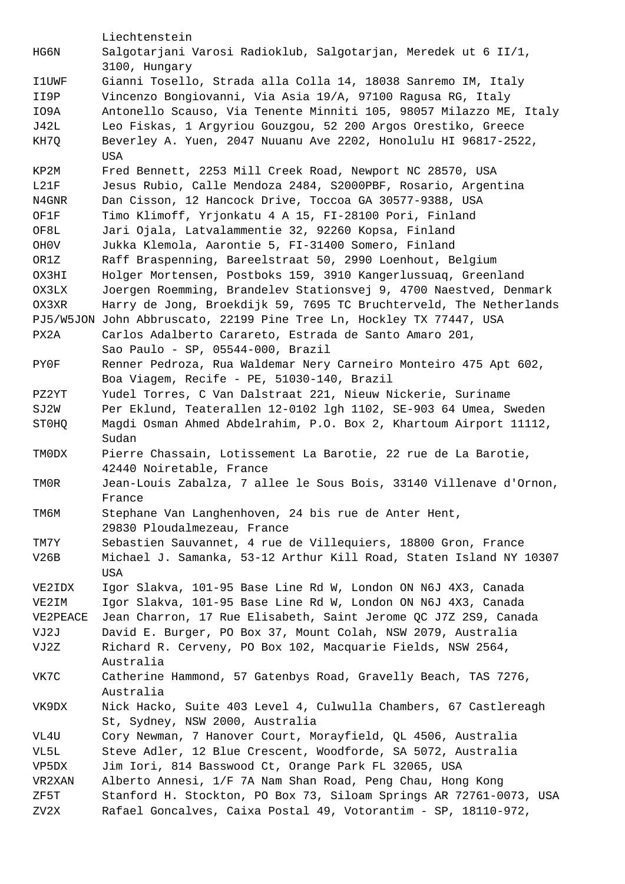Liechtenstein HG6N Salgotarjani Varosi Radioklub, Salgotarjan, Meredek ut 6 II/1, 3100, Hungary I1UWF Gianni Tosello, Strada alla Colla 14, 18038 Sanremo IM, Italy II9P Vincenzo Bongiovanni, Via Asia 19/A, 97100 Ragusa RG, Italy IO9A Antonello Scauso, Via Tenente Minniti 105, 98057 Milazzo ME, Italy J42L Leo Fiskas, 1 Argyriou Gouzgou, 52 200 Argos Orestiko, Greece KH7Q Beverley A. Yuen, 2047 Nuuanu Ave 2202, Honolulu HI 96817-2522, USA KP2M Fred Bennett, 2253 Mill Creek Road, Newport NC 28570, USA L21F Jesus Rubio, Calle Mendoza 2484, S2000PBF, Rosario, Argentina N4GNR Dan Cisson, 12 Hancock Drive, Toccoa GA 30577-9388, USA OF1F Timo Klimoff, Yrjonkatu 4 A 15, FI-28100 Pori, Finland OF8L Jari Ojala, Latvalammentie 32, 92260 Kopsa, Finland OH0V Jukka Klemola, Aarontie 5, FI-31400 Somero, Finland OR1Z Raff Braspenning, Bareelstraat 50, 2990 Loenhout, Belgium OX3HI Holger Mortensen, Postboks 159, 3910 Kangerlussuaq, Greenland OX3LX Joergen Roemming, Brandelev Stationsvej 9, 4700 Naestved, Denmark OX3XR Harry de Jong, Broekdijk 59, 7695 TC Bruchterveld, The Netherlands PJ5/W5JON John Abbruscato, 22199 Pine Tree Ln, Hockley TX 77447, USA PX2A Carlos Adalberto Carareto, Estrada de Santo Amaro 201, Sao Paulo - SP, 05544-000, Brazil PY0F Renner Pedroza, Rua Waldemar Nery Carneiro Monteiro 475 Apt 602, Boa Viagem, Recife - PE, 51030-140, Brazil PZ2YT Yudel Torres, C Van Dalstraat 221, Nieuw Nickerie, Suriname SJ2W Per Eklund, Teaterallen 12-0102 lgh 1102, SE-903 64 Umea, Sweden ST0HQ Magdi Osman Ahmed Abdelrahim, P.O. Box 2, Khartoum Airport 11112, Sudan TM0DX Pierre Chassain, Lotissement La Barotie, 22 rue de La Barotie, 42440 Noiretable, France TM0R Jean-Louis Zabalza, 7 allee le Sous Bois, 33140 Villenave d'Ornon, France TM6M Stephane Van Langhenhoven, 24 bis rue de Anter Hent, 29830 Ploudalmezeau, France TM7Y Sebastien Sauvannet, 4 rue de Villequiers, 18800 Gron, France V26B Michael J. Samanka, 53-12 Arthur Kill Road, Staten Island NY 10307 USA VE2IDX Igor Slakva, 101-95 Base Line Rd W, London ON N6J 4X3, Canada VE2IM Igor Slakva, 101-95 Base Line Rd W, London ON N6J 4X3, Canada VE2PEACE Jean Charron, 17 Rue Elisabeth, Saint Jerome QC J7Z 2S9, Canada VJ2J David E. Burger, PO Box 37, Mount Colah, NSW 2079, Australia VJ2Z Richard R. Cerveny, PO Box 102, Macquarie Fields, NSW 2564, Australia VK7C Catherine Hammond, 57 Gatenbys Road, Gravelly Beach, TAS 7276, Australia VK9DX Nick Hacko, Suite 403 Level 4, Culwulla Chambers, 67 Castlereagh St, Sydney, NSW 2000, Australia VL4U Cory Newman, 7 Hanover Court, Morayfield, QL 4506, Australia VL5L Steve Adler, 12 Blue Crescent, Woodforde, SA 5072, Australia VP5DX Jim Iori, 814 Basswood Ct, Orange Park FL 32065, USA VR2XAN Alberto Annesi, 1/F 7A Nam Shan Road, Peng Chau, Hong Kong ZF5T Stanford H. Stockton, PO Box 73, Siloam Springs AR 72761-0073, USA ZV2X Rafael Goncalves, Caixa Postal 49, Votorantim - SP, 18110-972,